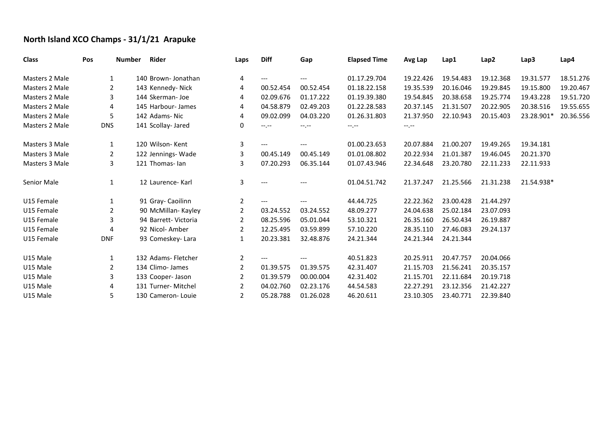## **North Island XCO Champs - 31/1/21 Arapuke**

| <b>Class</b>          | Pos            | <b>Number</b> | Rider                | Laps                  | <b>Diff</b>       | Gap       | <b>Elapsed Time</b> | Avg Lap   | Lap1      | Lap2      | Lap3       | Lap4      |
|-----------------------|----------------|---------------|----------------------|-----------------------|-------------------|-----------|---------------------|-----------|-----------|-----------|------------|-----------|
| <b>Masters 2 Male</b> | 1              |               | 140 Brown-Jonathan   | 4                     | $---$             | $---$     | 01.17.29.704        | 19.22.426 | 19.54.483 | 19.12.368 | 19.31.577  | 18.51.276 |
| <b>Masters 2 Male</b> | $\overline{2}$ |               | 143 Kennedy- Nick    | 4                     | 00.52.454         | 00.52.454 | 01.18.22.158        | 19.35.539 | 20.16.046 | 19.29.845 | 19.15.800  | 19.20.467 |
| Masters 2 Male        | 3              |               | 144 Skerman- Joe     | 4                     | 02.09.676         | 01.17.222 | 01.19.39.380        | 19.54.845 | 20.38.658 | 19.25.774 | 19.43.228  | 19.51.720 |
| Masters 2 Male        | 4              |               | 145 Harbour-James    | 4                     | 04.58.879         | 02.49.203 | 01.22.28.583        | 20.37.145 | 21.31.507 | 20.22.905 | 20.38.516  | 19.55.655 |
| <b>Masters 2 Male</b> | 5              |               | 142 Adams-Nic        | 4                     | 09.02.099         | 04.03.220 | 01.26.31.803        | 21.37.950 | 22.10.943 | 20.15.403 | 23.28.901* | 20.36.556 |
| Masters 2 Male        | <b>DNS</b>     |               | 141 Scollay- Jared   | 0                     | $-1, -1$          | $-1.1$    | $-1 - 1 - 1 = 0$    | $-1, -1$  |           |           |            |           |
| Masters 3 Male        | 1              |               | 120 Wilson-Kent      | 3                     | $---$             | ---       | 01.00.23.653        | 20.07.884 | 21.00.207 | 19.49.265 | 19.34.181  |           |
| Masters 3 Male        | 2              |               | 122 Jennings-Wade    | 3                     | 00.45.149         | 00.45.149 | 01.01.08.802        | 20.22.934 | 21.01.387 | 19.46.045 | 20.21.370  |           |
| Masters 3 Male        | 3              |               | 121 Thomas-lan       | 3                     | 07.20.293         | 06.35.144 | 01.07.43.946        | 22.34.648 | 23.20.780 | 22.11.233 | 22.11.933  |           |
| Senior Male           | $\mathbf{1}$   |               | 12 Laurence- Karl    | 3                     | $\qquad \qquad -$ |           | 01.04.51.742        | 21.37.247 | 21.25.566 | 21.31.238 | 21.54.938* |           |
| U15 Female            | 1              |               | 91 Gray-Caoilinn     | $\mathbf{2}$          | $---$             | ---       | 44.44.725           | 22.22.362 | 23.00.428 | 21.44.297 |            |           |
| U15 Female            | 2              |               | 90 McMillan- Kayley  | $\overline{2}$        | 03.24.552         | 03.24.552 | 48.09.277           | 24.04.638 | 25.02.184 | 23.07.093 |            |           |
| U15 Female            | 3              |               | 94 Barrett- Victoria | 2                     | 08.25.596         | 05.01.044 | 53.10.321           | 26.35.160 | 26.50.434 | 26.19.887 |            |           |
| U15 Female            | 4              |               | 92 Nicol-Amber       | 2                     | 12.25.495         | 03.59.899 | 57.10.220           | 28.35.110 | 27.46.083 | 29.24.137 |            |           |
| U15 Female            | <b>DNF</b>     |               | 93 Comeskey-Lara     | 1                     | 20.23.381         | 32.48.876 | 24.21.344           | 24.21.344 | 24.21.344 |           |            |           |
| U15 Male              | 1              |               | 132 Adams- Fletcher  | $\overline{2}$        | $---$             |           | 40.51.823           | 20.25.911 | 20.47.757 | 20.04.066 |            |           |
| U15 Male              | 2              |               | 134 Climo- James     | $\overline{2}$        | 01.39.575         | 01.39.575 | 42.31.407           | 21.15.703 | 21.56.241 | 20.35.157 |            |           |
| U15 Male              | 3              |               | 133 Cooper- Jason    | 2                     | 01.39.579         | 00.00.004 | 42.31.402           | 21.15.701 | 22.11.684 | 20.19.718 |            |           |
| U15 Male              | 4              |               | 131 Turner- Mitchel  | $\mathbf{2}^{\prime}$ | 04.02.760         | 02.23.176 | 44.54.583           | 22.27.291 | 23.12.356 | 21.42.227 |            |           |
| U15 Male              | 5.             |               | 130 Cameron-Louie    | $\mathbf{2}$          | 05.28.788         | 01.26.028 | 46.20.611           | 23.10.305 | 23.40.771 | 22.39.840 |            |           |